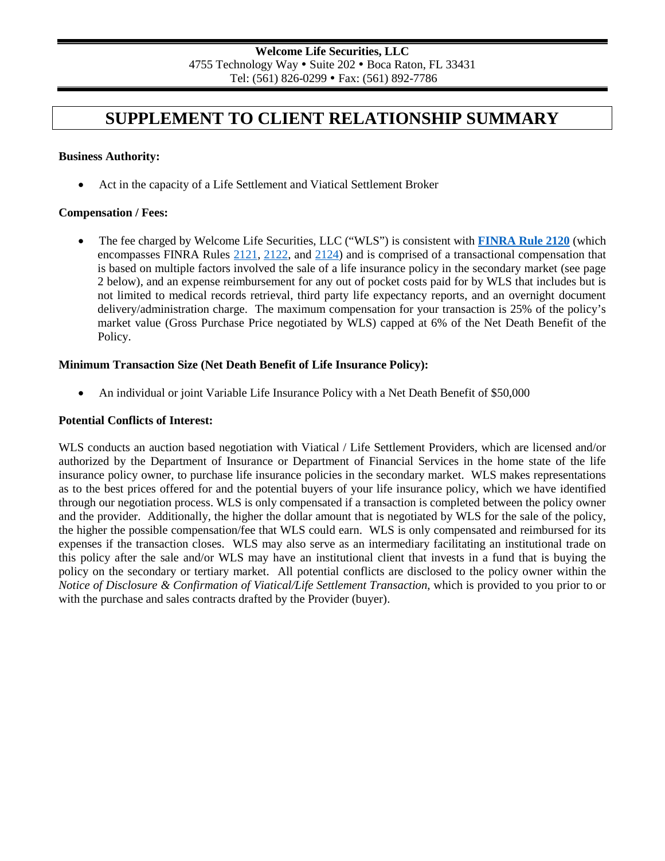# **SUPPLEMENT TO CLIENT RELATIONSHIP SUMMARY**

#### **Business Authority:**

• Act in the capacity of a Life Settlement and Viatical Settlement Broker

#### **Compensation / Fees:**

• The fee charged by Welcome Life Securities, LLC ("WLS") is consistent with **[FINRA Rule 2120](https://www.finra.org/rules-guidance/rulebooks/finra-rules/2120)** (which encompasses FINRA Rules [2121,](https://www.finra.org/rules-guidance/rulebooks/finra-rules/2121) [2122,](https://www.finra.org/rules-guidance/rulebooks/finra-rules/2122) and [2124\)](https://www.finra.org/rules-guidance/rulebooks/finra-rules/2124) and is comprised of a transactional compensation that is based on multiple factors involved the sale of a life insurance policy in the secondary market (see page 2 below), and an expense reimbursement for any out of pocket costs paid for by WLS that includes but is not limited to medical records retrieval, third party life expectancy reports, and an overnight document delivery/administration charge. The maximum compensation for your transaction is 25% of the policy's market value (Gross Purchase Price negotiated by WLS) capped at 6% of the Net Death Benefit of the Policy.

# **Minimum Transaction Size (Net Death Benefit of Life Insurance Policy):**

• An individual or joint Variable Life Insurance Policy with a Net Death Benefit of \$50,000

#### **Potential Conflicts of Interest:**

WLS conducts an auction based negotiation with Viatical / Life Settlement Providers, which are licensed and/or authorized by the Department of Insurance or Department of Financial Services in the home state of the life insurance policy owner, to purchase life insurance policies in the secondary market. WLS makes representations as to the best prices offered for and the potential buyers of your life insurance policy, which we have identified through our negotiation process. WLS is only compensated if a transaction is completed between the policy owner and the provider. Additionally, the higher the dollar amount that is negotiated by WLS for the sale of the policy, the higher the possible compensation/fee that WLS could earn. WLS is only compensated and reimbursed for its expenses if the transaction closes. WLS may also serve as an intermediary facilitating an institutional trade on this policy after the sale and/or WLS may have an institutional client that invests in a fund that is buying the policy on the secondary or tertiary market. All potential conflicts are disclosed to the policy owner within the *Notice of Disclosure & Confirmation of Viatical/Life Settlement Transaction*, which is provided to you prior to or with the purchase and sales contracts drafted by the Provider (buyer).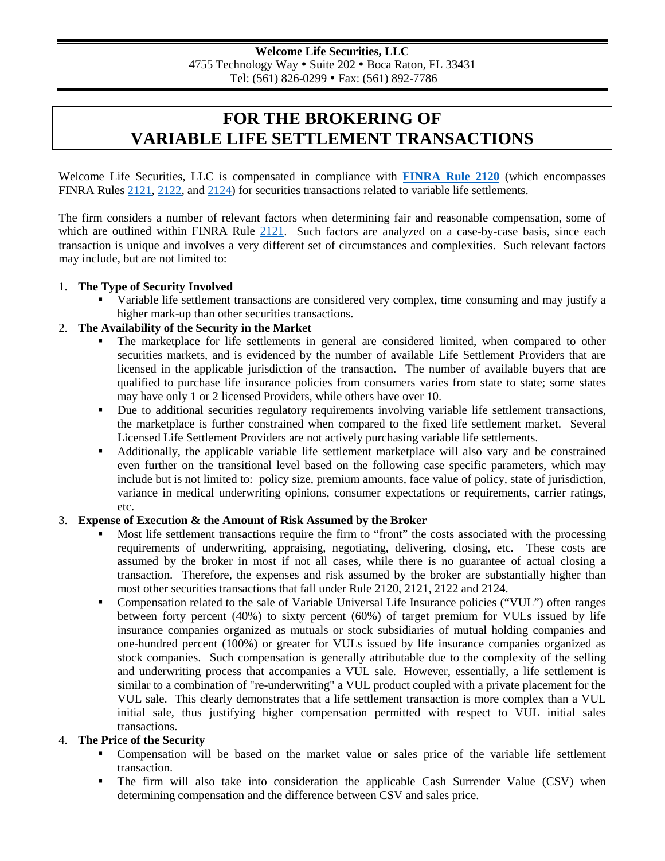# **FOR THE BROKERING OF VARIABLE LIFE SETTLEMENT TRANSACTIONS**

Welcome Life Securities, LLC is compensated in compliance with **[FINRA Rule 2120](https://www.finra.org/rules-guidance/rulebooks/finra-rules/2120)** (which encompasses FINRA Rules [2121,](https://www.finra.org/rules-guidance/rulebooks/finra-rules/2121) [2122,](https://www.finra.org/rules-guidance/rulebooks/finra-rules/2122) and [2124\)](https://www.finra.org/rules-guidance/rulebooks/finra-rules/2124) for securities transactions related to variable life settlements.

The firm considers a number of relevant factors when determining fair and reasonable compensation, some of which are outlined within FINRA Rule [2121.](https://www.finra.org/rules-guidance/rulebooks/finra-rules/2121) Such factors are analyzed on a case-by-case basis, since each transaction is unique and involves a very different set of circumstances and complexities. Such relevant factors may include, but are not limited to:

#### 1. **The Type of Security Involved**

 Variable life settlement transactions are considered very complex, time consuming and may justify a higher mark-up than other securities transactions.

#### 2. **The Availability of the Security in the Market**

- The marketplace for life settlements in general are considered limited, when compared to other securities markets, and is evidenced by the number of available Life Settlement Providers that are licensed in the applicable jurisdiction of the transaction. The number of available buyers that are qualified to purchase life insurance policies from consumers varies from state to state; some states may have only 1 or 2 licensed Providers, while others have over 10.
- Due to additional securities regulatory requirements involving variable life settlement transactions, the marketplace is further constrained when compared to the fixed life settlement market. Several Licensed Life Settlement Providers are not actively purchasing variable life settlements.
- Additionally, the applicable variable life settlement marketplace will also vary and be constrained even further on the transitional level based on the following case specific parameters, which may include but is not limited to: policy size, premium amounts, face value of policy, state of jurisdiction, variance in medical underwriting opinions, consumer expectations or requirements, carrier ratings, etc.

### 3. **Expense of Execution & the Amount of Risk Assumed by the Broker**

- Most life settlement transactions require the firm to "front" the costs associated with the processing requirements of underwriting, appraising, negotiating, delivering, closing, etc. These costs are assumed by the broker in most if not all cases, while there is no guarantee of actual closing a transaction. Therefore, the expenses and risk assumed by the broker are substantially higher than most other securities transactions that fall under Rule 2120, 2121, 2122 and 2124.
- Compensation related to the sale of Variable Universal Life Insurance policies ("VUL") often ranges between forty percent (40%) to sixty percent (60%) of target premium for VULs issued by life insurance companies organized as mutuals or stock subsidiaries of mutual holding companies and one-hundred percent (100%) or greater for VULs issued by life insurance companies organized as stock companies. Such compensation is generally attributable due to the complexity of the selling and underwriting process that accompanies a VUL sale. However, essentially, a life settlement is similar to a combination of "re-underwriting" a VUL product coupled with a private placement for the VUL sale. This clearly demonstrates that a life settlement transaction is more complex than a VUL initial sale, thus justifying higher compensation permitted with respect to VUL initial sales transactions.

#### 4. **The Price of the Security**

- Compensation will be based on the market value or sales price of the variable life settlement transaction.
- The firm will also take into consideration the applicable Cash Surrender Value (CSV) when determining compensation and the difference between CSV and sales price.